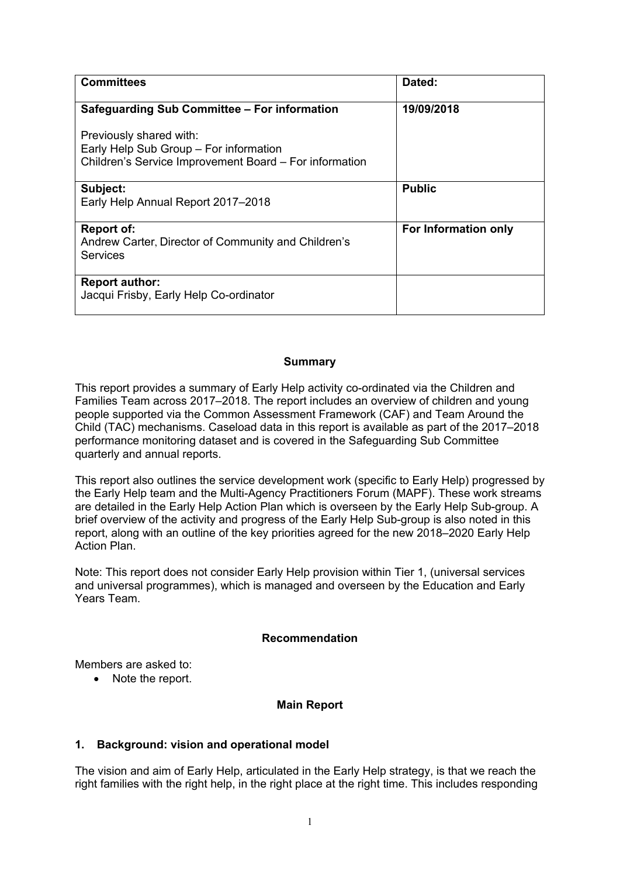| <b>Committees</b>                                                      | Dated:               |
|------------------------------------------------------------------------|----------------------|
| Safeguarding Sub Committee - For information                           | 19/09/2018           |
| Previously shared with:                                                |                      |
| Early Help Sub Group - For information                                 |                      |
| Children's Service Improvement Board – For information                 |                      |
| Subject:                                                               | <b>Public</b>        |
| Early Help Annual Report 2017-2018                                     |                      |
| <b>Report of:</b>                                                      | For Information only |
| Andrew Carter, Director of Community and Children's<br><b>Services</b> |                      |
| <b>Report author:</b>                                                  |                      |
| Jacqui Frisby, Early Help Co-ordinator                                 |                      |
|                                                                        |                      |

#### **Summary**

This report provides a summary of Early Help activity co-ordinated via the Children and Families Team across 2017–2018. The report includes an overview of children and young people supported via the Common Assessment Framework (CAF) and Team Around the Child (TAC) mechanisms. Caseload data in this report is available as part of the 2017–2018 performance monitoring dataset and is covered in the Safeguarding Sub Committee quarterly and annual reports.

This report also outlines the service development work (specific to Early Help) progressed by the Early Help team and the Multi-Agency Practitioners Forum (MAPF). These work streams are detailed in the Early Help Action Plan which is overseen by the Early Help Sub-group. A brief overview of the activity and progress of the Early Help Sub-group is also noted in this report, along with an outline of the key priorities agreed for the new 2018–2020 Early Help Action Plan.

Note: This report does not consider Early Help provision within Tier 1, (universal services and universal programmes), which is managed and overseen by the Education and Early Years Team.

### **Recommendation**

Members are asked to:

• Note the report.

### **Main Report**

### **1. Background: vision and operational model**

The vision and aim of Early Help, articulated in the Early Help strategy, is that we reach the right families with the right help, in the right place at the right time. This includes responding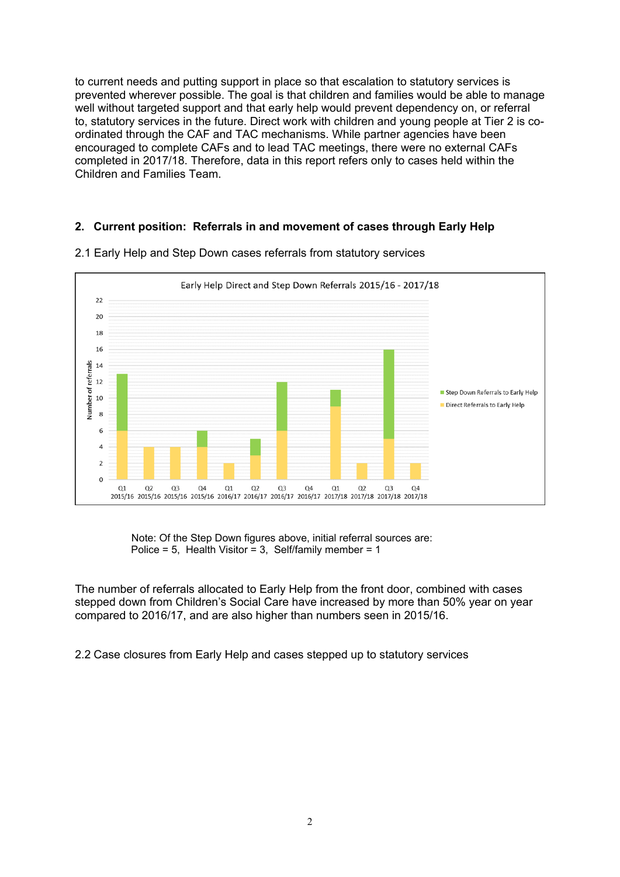to current needs and putting support in place so that escalation to statutory services is prevented wherever possible. The goal is that children and families would be able to manage well without targeted support and that early help would prevent dependency on, or referral to, statutory services in the future. Direct work with children and young people at Tier 2 is coordinated through the CAF and TAC mechanisms. While partner agencies have been encouraged to complete CAFs and to lead TAC meetings, there were no external CAFs completed in 2017/18. Therefore, data in this report refers only to cases held within the Children and Families Team.

### **2. Current position: Referrals in and movement of cases through Early Help**



2.1 Early Help and Step Down cases referrals from statutory services

 Note: Of the Step Down figures above, initial referral sources are: Police = 5, Health Visitor = 3, Self/family member =  $1$ 

The number of referrals allocated to Early Help from the front door, combined with cases stepped down from Children's Social Care have increased by more than 50% year on year compared to 2016/17, and are also higher than numbers seen in 2015/16.

2.2 Case closures from Early Help and cases stepped up to statutory services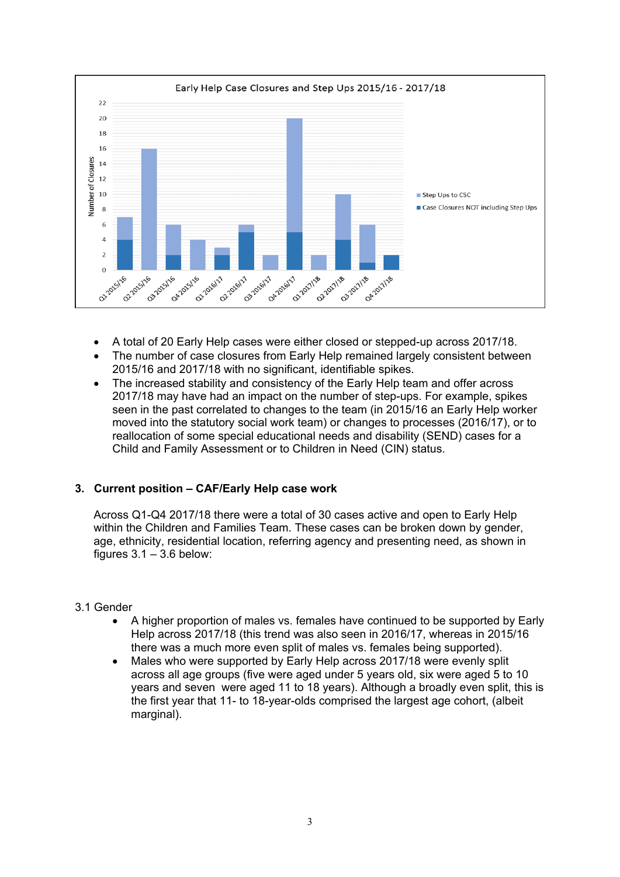

- A total of 20 Early Help cases were either closed or stepped-up across 2017/18.
- The number of case closures from Early Help remained largely consistent between 2015/16 and 2017/18 with no significant, identifiable spikes.
- The increased stability and consistency of the Early Help team and offer across 2017/18 may have had an impact on the number of step-ups. For example, spikes seen in the past correlated to changes to the team (in 2015/16 an Early Help worker moved into the statutory social work team) or changes to processes (2016/17), or to reallocation of some special educational needs and disability (SEND) cases for a Child and Family Assessment or to Children in Need (CIN) status.

# **3. Current position – CAF/Early Help case work**

Across Q1-Q4 2017/18 there were a total of 30 cases active and open to Early Help within the Children and Families Team. These cases can be broken down by gender, age, ethnicity, residential location, referring agency and presenting need, as shown in figures  $3.1 - 3.6$  below:

### 3.1 Gender

- A higher proportion of males vs. females have continued to be supported by Early Help across 2017/18 (this trend was also seen in 2016/17, whereas in 2015/16 there was a much more even split of males vs. females being supported).
- Males who were supported by Early Help across 2017/18 were evenly split across all age groups (five were aged under 5 years old, six were aged 5 to 10 years and seven were aged 11 to 18 years). Although a broadly even split, this is the first year that 11- to 18-year-olds comprised the largest age cohort, (albeit marginal).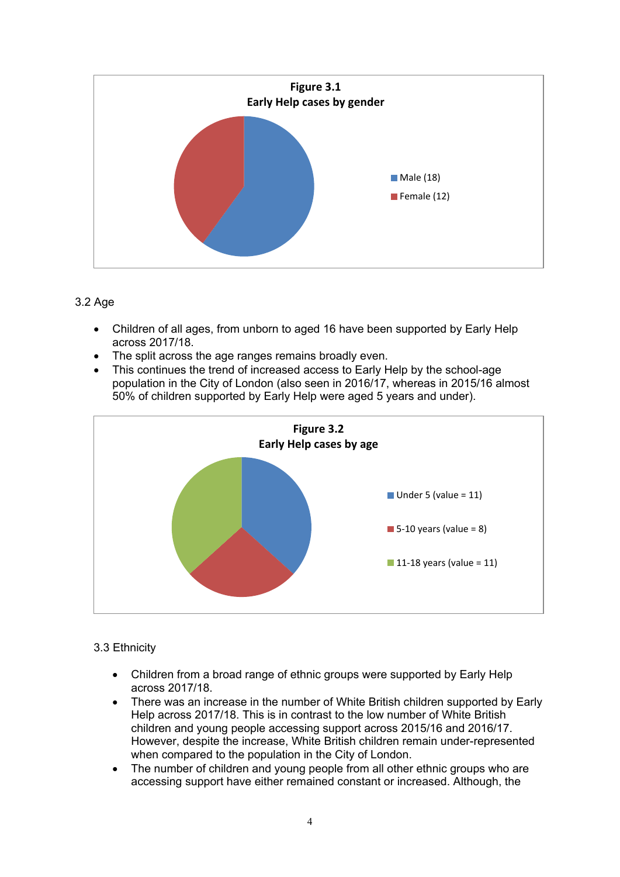

# 3.2 Age

- Children of all ages, from unborn to aged 16 have been supported by Early Help across 2017/18.
- The split across the age ranges remains broadly even.
- This continues the trend of increased access to Early Help by the school-age population in the City of London (also seen in 2016/17, whereas in 2015/16 almost 50% of children supported by Early Help were aged 5 years and under).



### 3.3 Ethnicity

- Children from a broad range of ethnic groups were supported by Early Help across 2017/18.
- There was an increase in the number of White British children supported by Early Help across 2017/18. This is in contrast to the low number of White British children and young people accessing support across 2015/16 and 2016/17. However, despite the increase, White British children remain under-represented when compared to the population in the City of London.
- The number of children and young people from all other ethnic groups who are accessing support have either remained constant or increased. Although, the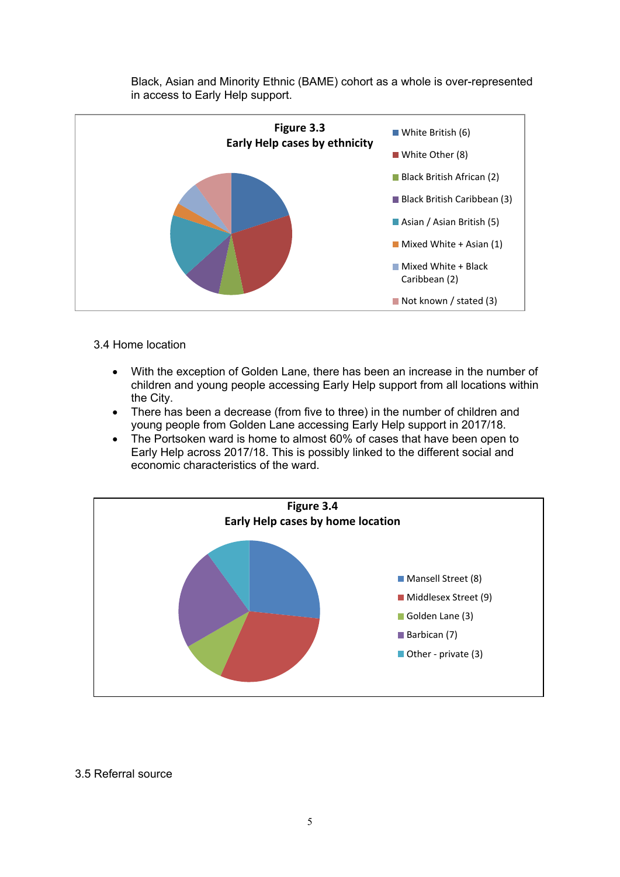Black, Asian and Minority Ethnic (BAME) cohort as a whole is over-represented in access to Early Help support.



# 3.4 Home location

- With the exception of Golden Lane, there has been an increase in the number of children and young people accessing Early Help support from all locations within the City.
- There has been a decrease (from five to three) in the number of children and young people from Golden Lane accessing Early Help support in 2017/18.
- The Portsoken ward is home to almost 60% of cases that have been open to Early Help across 2017/18. This is possibly linked to the different social and economic characteristics of the ward.



### 3.5 Referral source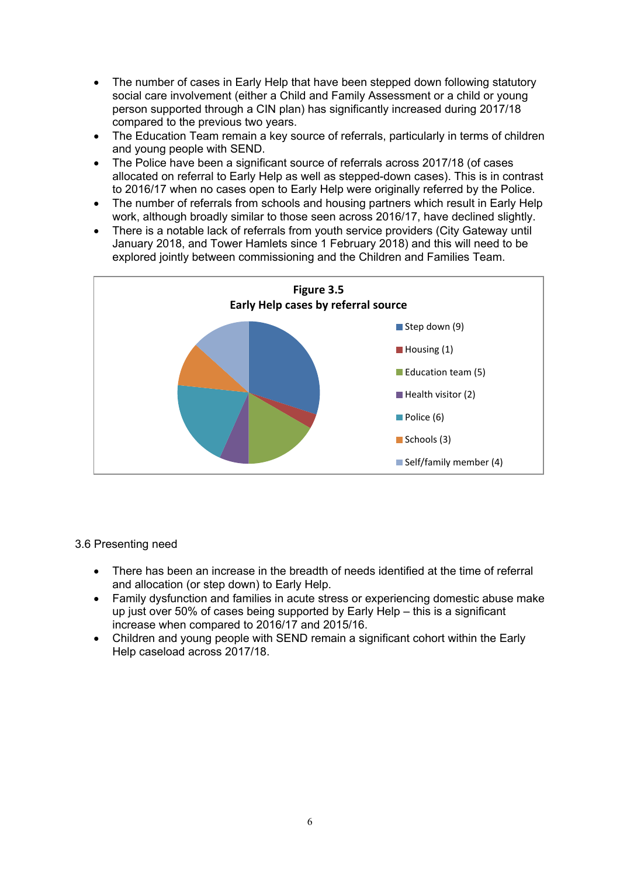- The number of cases in Early Help that have been stepped down following statutory social care involvement (either a Child and Family Assessment or a child or young person supported through a CIN plan) has significantly increased during 2017/18 compared to the previous two years.
- The Education Team remain a key source of referrals, particularly in terms of children and young people with SEND.
- The Police have been a significant source of referrals across 2017/18 (of cases allocated on referral to Early Help as well as stepped-down cases). This is in contrast to 2016/17 when no cases open to Early Help were originally referred by the Police.
- The number of referrals from schools and housing partners which result in Early Help work, although broadly similar to those seen across 2016/17, have declined slightly.
- There is a notable lack of referrals from youth service providers (City Gateway until January 2018, and Tower Hamlets since 1 February 2018) and this will need to be explored jointly between commissioning and the Children and Families Team.



3.6 Presenting need

- There has been an increase in the breadth of needs identified at the time of referral and allocation (or step down) to Early Help.
- Family dysfunction and families in acute stress or experiencing domestic abuse make up just over 50% of cases being supported by Early Help – this is a significant increase when compared to 2016/17 and 2015/16.
- Children and young people with SEND remain a significant cohort within the Early Help caseload across 2017/18.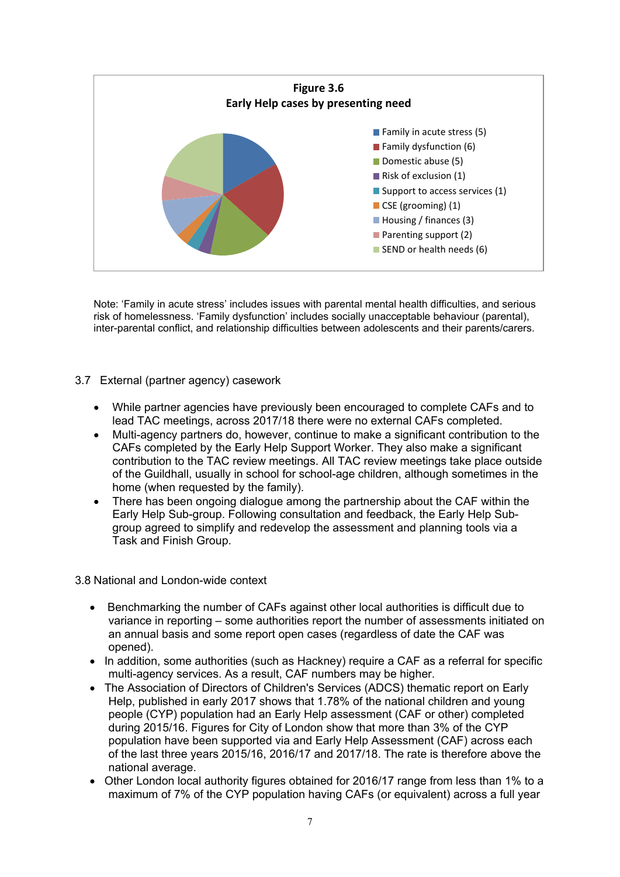

Note: 'Family in acute stress' includes issues with parental mental health difficulties, and serious risk of homelessness. 'Family dysfunction' includes socially unacceptable behaviour (parental), inter-parental conflict, and relationship difficulties between adolescents and their parents/carers.

- 3.7 External (partner agency) casework
	- While partner agencies have previously been encouraged to complete CAFs and to lead TAC meetings, across 2017/18 there were no external CAFs completed.
	- Multi-agency partners do, however, continue to make a significant contribution to the CAFs completed by the Early Help Support Worker. They also make a significant contribution to the TAC review meetings. All TAC review meetings take place outside of the Guildhall, usually in school for school-age children, although sometimes in the home (when requested by the family).
	- There has been ongoing dialogue among the partnership about the CAF within the Early Help Sub-group. Following consultation and feedback, the Early Help Subgroup agreed to simplify and redevelop the assessment and planning tools via a Task and Finish Group.

3.8 National and London-wide context

- Benchmarking the number of CAFs against other local authorities is difficult due to variance in reporting – some authorities report the number of assessments initiated on an annual basis and some report open cases (regardless of date the CAF was opened).
- In addition, some authorities (such as Hackney) require a CAF as a referral for specific multi-agency services. As a result, CAF numbers may be higher.
- The Association of Directors of Children's Services (ADCS) thematic report on Early Help, published in early 2017 shows that 1.78% of the national children and young people (CYP) population had an Early Help assessment (CAF or other) completed during 2015/16. Figures for City of London show that more than 3% of the CYP population have been supported via and Early Help Assessment (CAF) across each of the last three years 2015/16, 2016/17 and 2017/18. The rate is therefore above the national average.
- Other London local authority figures obtained for 2016/17 range from less than 1% to a maximum of 7% of the CYP population having CAFs (or equivalent) across a full year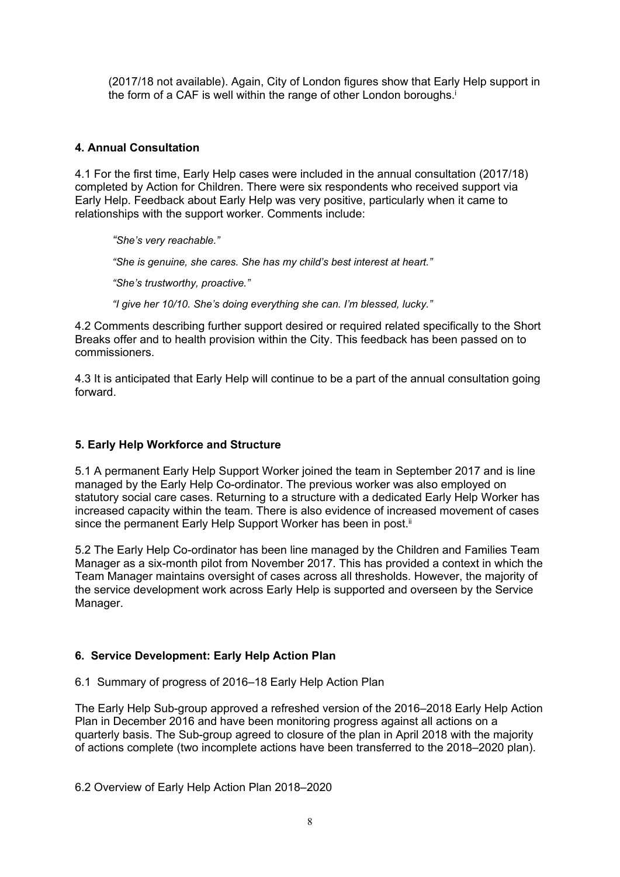(2017/18 not available). Again, City of London figures show that Early Help support in the form of a CAF is well within the range of other London boroughs.<sup>i</sup>

# **4. Annual Consultation**

4.1 For the first time, Early Help cases were included in the annual consultation (2017/18) completed by Action for Children. There were six respondents who received support via Early Help. Feedback about Early Help was very positive, particularly when it came to relationships with the support worker. Comments include:

*"She's very reachable."*

*"She is genuine, she cares. She has my child's best interest at heart."*

*"She's trustworthy, proactive."*

*"I give her 10/10. She's doing everything she can. I'm blessed, lucky."*

4.2 Comments describing further support desired or required related specifically to the Short Breaks offer and to health provision within the City. This feedback has been passed on to commissioners.

4.3 It is anticipated that Early Help will continue to be a part of the annual consultation going forward.

### **5. Early Help Workforce and Structure**

5.1 A permanent Early Help Support Worker joined the team in September 2017 and is line managed by the Early Help Co-ordinator. The previous worker was also employed on statutory social care cases. Returning to a structure with a dedicated Early Help Worker has increased capacity within the team. There is also evidence of increased movement of cases since the permanent Early Help Support Worker has been in post.<sup>ii</sup>

5.2 The Early Help Co-ordinator has been line managed by the Children and Families Team Manager as a six-month pilot from November 2017. This has provided a context in which the Team Manager maintains oversight of cases across all thresholds. However, the majority of the service development work across Early Help is supported and overseen by the Service Manager.

# **6. Service Development: Early Help Action Plan**

6.1 Summary of progress of 2016–18 Early Help Action Plan

The Early Help Sub-group approved a refreshed version of the 2016–2018 Early Help Action Plan in December 2016 and have been monitoring progress against all actions on a quarterly basis. The Sub-group agreed to closure of the plan in April 2018 with the majority of actions complete (two incomplete actions have been transferred to the 2018–2020 plan).

6.2 Overview of Early Help Action Plan 2018–2020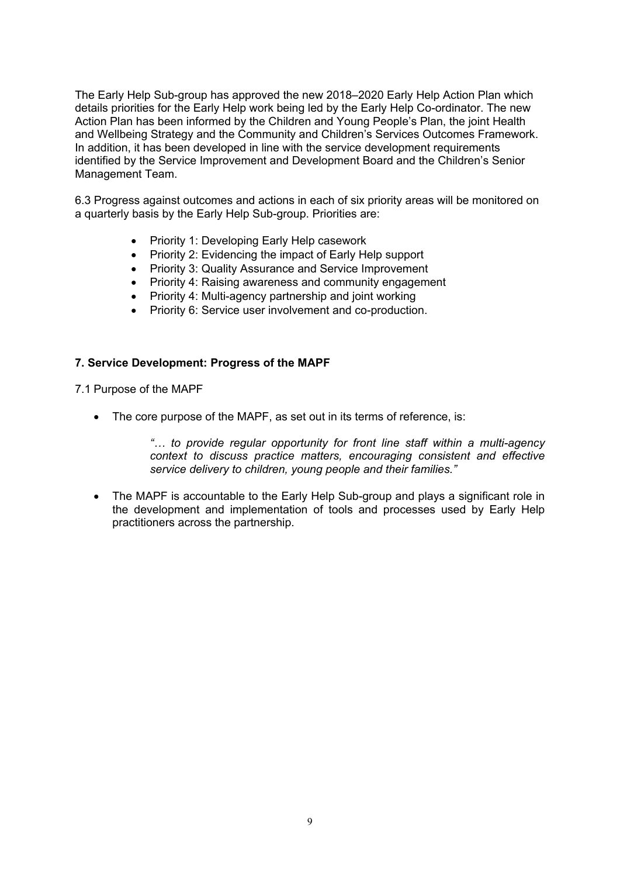The Early Help Sub-group has approved the new 2018–2020 Early Help Action Plan which details priorities for the Early Help work being led by the Early Help Co-ordinator. The new Action Plan has been informed by the Children and Young People's Plan, the joint Health and Wellbeing Strategy and the Community and Children's Services Outcomes Framework. In addition, it has been developed in line with the service development requirements identified by the Service Improvement and Development Board and the Children's Senior Management Team.

6.3 Progress against outcomes and actions in each of six priority areas will be monitored on a quarterly basis by the Early Help Sub-group. Priorities are:

- Priority 1: Developing Early Help casework
- Priority 2: Evidencing the impact of Early Help support
- Priority 3: Quality Assurance and Service Improvement
- Priority 4: Raising awareness and community engagement
- Priority 4: Multi-agency partnership and joint working
- Priority 6: Service user involvement and co-production.

#### **7. Service Development: Progress of the MAPF**

7.1 Purpose of the MAPF

• The core purpose of the MAPF, as set out in its terms of reference, is:

*"… to provide regular opportunity for front line staff within a multi-agency context to discuss practice matters, encouraging consistent and effective service delivery to children, young people and their families."*

• The MAPF is accountable to the Early Help Sub-group and plays a significant role in the development and implementation of tools and processes used by Early Help practitioners across the partnership.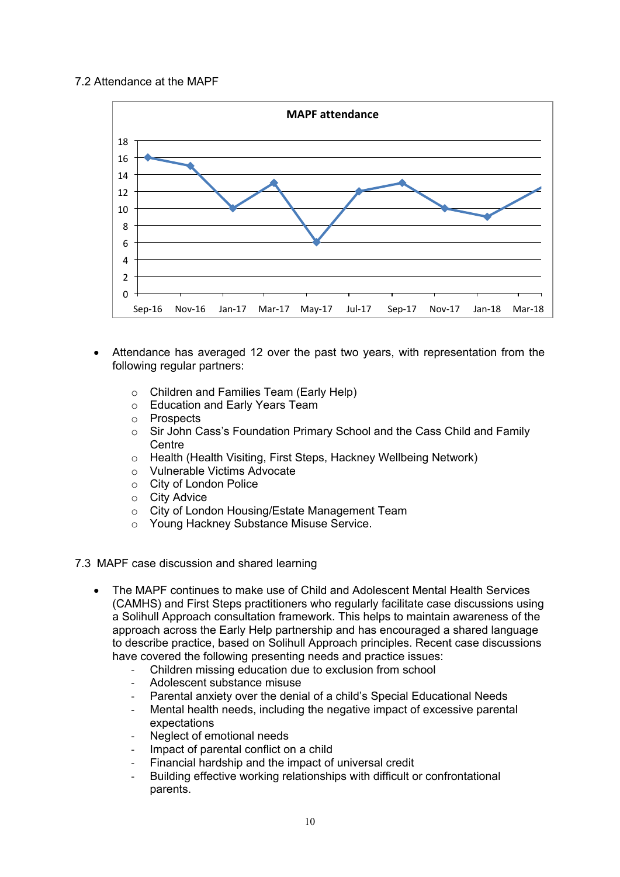# 7.2 Attendance at the MAPF



- Attendance has averaged 12 over the past two years, with representation from the following regular partners:
	- o Children and Families Team (Early Help)
	- o Education and Early Years Team
	- o Prospects
	- o Sir John Cass's Foundation Primary School and the Cass Child and Family **Centre**
	- o Health (Health Visiting, First Steps, Hackney Wellbeing Network)
	- o Vulnerable Victims Advocate
	- o City of London Police
	- o City Advice
	- o City of London Housing/Estate Management Team
	- o Young Hackney Substance Misuse Service.

### 7.3 MAPF case discussion and shared learning

- The MAPF continues to make use of Child and Adolescent Mental Health Services (CAMHS) and First Steps practitioners who regularly facilitate case discussions using a Solihull Approach consultation framework. This helps to maintain awareness of the approach across the Early Help partnership and has encouraged a shared language to describe practice, based on Solihull Approach principles. Recent case discussions have covered the following presenting needs and practice issues:
	- Children missing education due to exclusion from school
	- Adolescent substance misuse
	- Parental anxiety over the denial of a child's Special Educational Needs
	- Mental health needs, including the negative impact of excessive parental expectations
	- Neglect of emotional needs
	- Impact of parental conflict on a child
	- Financial hardship and the impact of universal credit
	- Building effective working relationships with difficult or confrontational parents.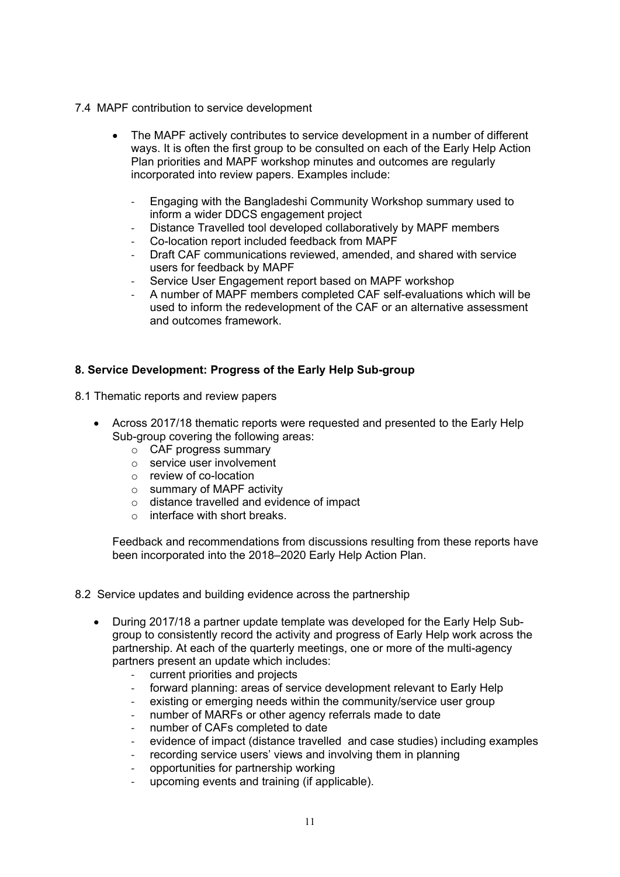- 7.4 MAPF contribution to service development
	- The MAPF actively contributes to service development in a number of different ways. It is often the first group to be consulted on each of the Early Help Action Plan priorities and MAPF workshop minutes and outcomes are regularly incorporated into review papers. Examples include:
		- Engaging with the Bangladeshi Community Workshop summary used to inform a wider DDCS engagement project
		- Distance Travelled tool developed collaboratively by MAPF members
		- Co-location report included feedback from MAPF
		- Draft CAF communications reviewed, amended, and shared with service users for feedback by MAPF
		- Service User Engagement report based on MAPF workshop
		- A number of MAPF members completed CAF self-evaluations which will be used to inform the redevelopment of the CAF or an alternative assessment and outcomes framework.

### **8. Service Development: Progress of the Early Help Sub-group**

- 8.1 Thematic reports and review papers
	- Across 2017/18 thematic reports were requested and presented to the Early Help Sub-group covering the following areas:
		- o CAF progress summary
		- o service user involvement
		- o review of co-location
		- o summary of MAPF activity
		- o distance travelled and evidence of impact
		- $\circ$  interface with short breaks.

Feedback and recommendations from discussions resulting from these reports have been incorporated into the 2018–2020 Early Help Action Plan.

- 8.2 Service updates and building evidence across the partnership
	- During 2017/18 a partner update template was developed for the Early Help Subgroup to consistently record the activity and progress of Early Help work across the partnership. At each of the quarterly meetings, one or more of the multi-agency partners present an update which includes:
		- current priorities and projects
		- forward planning: areas of service development relevant to Early Help
		- existing or emerging needs within the community/service user group
		- number of MARFs or other agency referrals made to date
		- number of CAFs completed to date
		- evidence of impact (distance travelled and case studies) including examples
		- recording service users' views and involving them in planning
		- opportunities for partnership working
		- upcoming events and training (if applicable).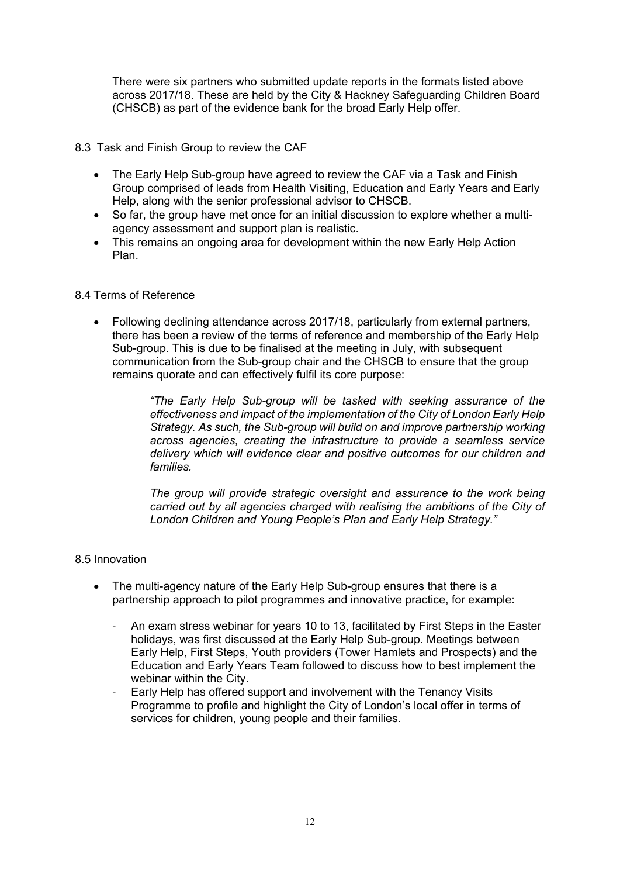There were six partners who submitted update reports in the formats listed above across 2017/18. These are held by the City & Hackney Safeguarding Children Board (CHSCB) as part of the evidence bank for the broad Early Help offer.

- 8.3 Task and Finish Group to review the CAF
	- The Early Help Sub-group have agreed to review the CAF via a Task and Finish Group comprised of leads from Health Visiting, Education and Early Years and Early Help, along with the senior professional advisor to CHSCB.
	- So far, the group have met once for an initial discussion to explore whether a multiagency assessment and support plan is realistic.
	- This remains an ongoing area for development within the new Early Help Action Plan.

### 8.4 Terms of Reference

 Following declining attendance across 2017/18, particularly from external partners, there has been a review of the terms of reference and membership of the Early Help Sub-group. This is due to be finalised at the meeting in July, with subsequent communication from the Sub-group chair and the CHSCB to ensure that the group remains quorate and can effectively fulfil its core purpose:

> *"The Early Help Sub-group will be tasked with seeking assurance of the effectiveness and impact of the implementation of the City of London Early Help Strategy. As such, the Sub-group will build on and improve partnership working across agencies, creating the infrastructure to provide a seamless service delivery which will evidence clear and positive outcomes for our children and families.*

> *The group will provide strategic oversight and assurance to the work being carried out by all agencies charged with realising the ambitions of the City of London Children and Young People's Plan and Early Help Strategy."*

#### 8.5 Innovation

- The multi-agency nature of the Early Help Sub-group ensures that there is a partnership approach to pilot programmes and innovative practice, for example:
	- An exam stress webinar for years 10 to 13, facilitated by First Steps in the Easter holidays, was first discussed at the Early Help Sub-group. Meetings between Early Help, First Steps, Youth providers (Tower Hamlets and Prospects) and the Education and Early Years Team followed to discuss how to best implement the webinar within the City.
	- Early Help has offered support and involvement with the Tenancy Visits Programme to profile and highlight the City of London's local offer in terms of services for children, young people and their families.